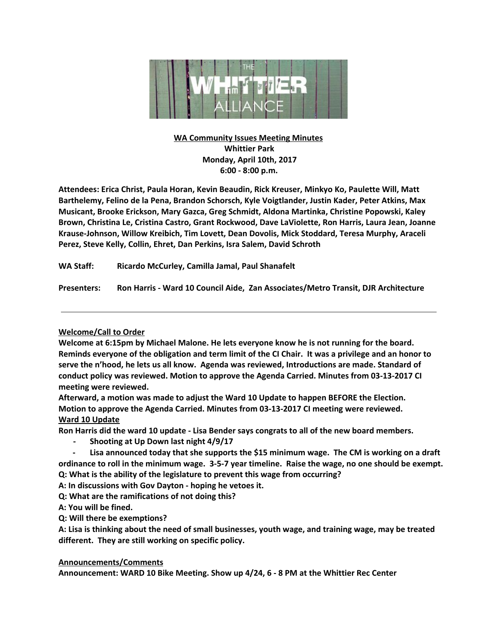

# **WA Community Issues Meeting Minutes Whittier Park Monday, April 10th, 2017 6:00 - 8:00 p.m.**

**Attendees: Erica Christ, Paula Horan, Kevin Beaudin, Rick Kreuser, Minkyo Ko, Paulette Will, Matt Barthelemy, Felino de la Pena, Brandon Schorsch, Kyle Voigtlander, Justin Kader, Peter Atkins, Max Musicant, Brooke Erickson, Mary Gazca, Greg Schmidt, Aldona Martinka, Christine Popowski, Kaley Brown, Christina Le, Cristina Castro, Grant Rockwood, Dave LaViolette, Ron Harris, Laura Jean, Joanne Krause-Johnson, Willow Kreibich, Tim Lovett, Dean Dovolis, Mick Stoddard, Teresa Murphy, Araceli Perez, Steve Kelly, Collin, Ehret, Dan Perkins, Isra Salem, David Schroth**

**WA Staff: Ricardo McCurley, Camilla Jamal, Paul Shanafelt**

**Presenters: Ron Harris - Ward 10 Council Aide, Zan Associates/Metro Transit, DJR Architecture**

## **Welcome/Call to Order**

**Welcome at 6:15pm by Michael Malone. He lets everyone know he is not running for the board.** Reminds everyone of the obligation and term limit of the CI Chair. It was a privilege and an honor to **serve the n'hood, he lets us all know. Agenda was reviewed, Introductions are made. Standard of conduct policy was reviewed. Motion to approve the Agenda Carried. Minutes from 03-13-2017 CI meeting were reviewed.**

**Afterward, a motion was made to adjust the Ward 10 Update to happen BEFORE the Election. Motion to approve the Agenda Carried. Minutes from 03-13-2017 CI meeting were reviewed. Ward 10 Update**

Ron Harris did the ward 10 update - Lisa Bender says congrats to all of the new board members.

- **- Shooting at Up Down last night 4/9/17**
- **- Lisa announced today that she supports the \$15 minimum wage. The CM is working on a draft** ordinance to roll in the minimum wage. 3-5-7 year timeline. Raise the wage, no one should be exempt. **Q: What is the ability of the legislature to prevent this wage from occurring?**
- **A: In discussions with Gov Dayton - hoping he vetoes it.**
- **Q: What are the ramifications of not doing this?**

**A: You will be fined.**

**Q: Will there be exemptions?**

A: Lisa is thinking about the need of small businesses, youth wage, and training wage, may be treated **different. They are still working on specific policy.**

## **Announcements/Comments**

**Announcement: WARD 10 Bike Meeting. Show up 4/24, 6 - 8 PM at the Whittier Rec Center**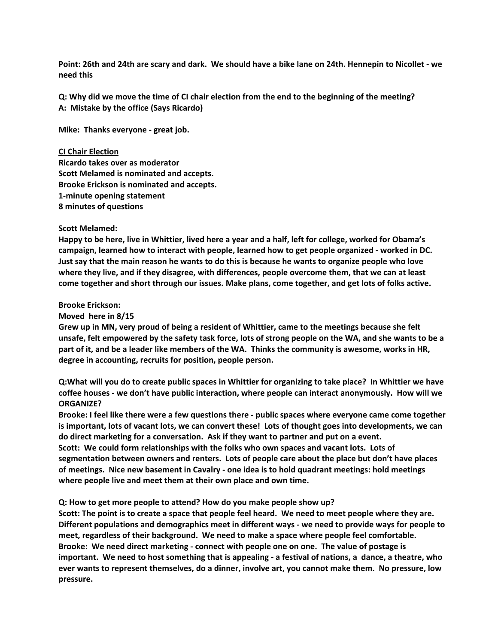Point: 26th and 24th are scary and dark. We should have a bike lane on 24th. Hennepin to Nicollet - we **need this**

Q: Why did we move the time of CI chair election from the end to the beginning of the meeting? **A: Mistake by the office (Says Ricardo)**

**Mike: Thanks everyone - great job.**

### **CI Chair Election**

**Ricardo takes over as moderator Scott Melamed is nominated and accepts. Brooke Erickson is nominated and accepts. 1-minute opening statement 8 minutes of questions**

### **Scott Melamed:**

Happy to be here, live in Whittier, lived here a year and a half, left for college, worked for Obama's **campaign, learned how to interact with people, learned how to get people organized - worked in DC.** Just say that the main reason he wants to do this is because he wants to organize people who love **where they live, and if they disagree, with differences, people overcome them, that we can at least come together and short through our issues. Make plans, come together, and get lots of folks active.**

### **Brooke Erickson:**

### **Moved here in 8/15**

Grew up in MN, very proud of being a resident of Whittier, came to the meetings because she felt unsafe, felt empowered by the safety task force, lots of strong people on the WA, and she wants to be a part of it, and be a leader like members of the WA. Thinks the community is awesome, works in HR, **degree in accounting, recruits for position, people person.**

Q: What will you do to create public spaces in Whittier for organizing to take place? In Whittier we have **coffee houses - we don't have public interaction, where people can interact anonymously. How will we ORGANIZE?**

Brooke: I feel like there were a few questions there - public spaces where everyone came come together is important, lots of vacant lots, we can convert these! Lots of thought goes into developments, we can **do direct marketing for a conversation. Ask if they want to partner and put on a event. Scott: We could form relationships with the folks who own spaces and vacant lots. Lots of segmentation between owners and renters. Lots of people care about the place but don't have places**

**of meetings. Nice new basement in Cavalry - one idea is to hold quadrant meetings: hold meetings where people live and meet them at their own place and own time.**

#### **Q: How to get more people to attend? How do you make people show up?**

Scott: The point is to create a space that people feel heard. We need to meet people where they are. **Different populations and demographics meet in different ways - we need to provide ways for people to meet, regardless of their background. We need to make a space where people feel comfortable. Brooke: We need direct marketing - connect with people one on one. The value of postage is** important. We need to host something that is appealing - a festival of nations, a dance, a theatre, who **ever wants to represent themselves, do a dinner, involve art, you cannot make them. No pressure, low pressure.**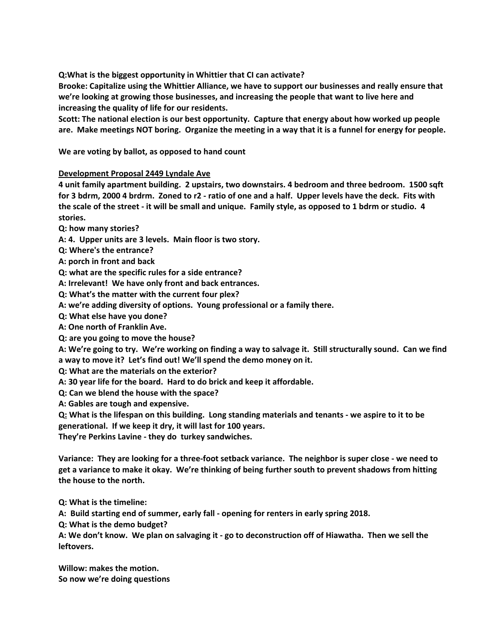**Q:What is the biggest opportunity in Whittier that CI can activate?**

**Brooke: Capitalize using the Whittier Alliance, we have to support our businesses and really ensure that we're looking at growing those businesses, and increasing the people that want to live here and increasing the quality of life for our residents.**

**Scott: The national election is our best opportunity. Capture that energy about how worked up people** are. Make meetings NOT boring. Organize the meeting in a way that it is a funnel for energy for people.

**We are voting by ballot, as opposed to hand count**

## **Development Proposal 2449 Lyndale Ave**

**4 unit family apartment building. 2 upstairs, two downstairs. 4 bedroom and three bedroom. 1500 sqft** for 3 bdrm, 2000 4 brdrm. Zoned to r2 - ratio of one and a half. Upper levels have the deck. Fits with the scale of the street - it will be small and unique. Family style, as opposed to 1 bdrm or studio. 4 **stories.**

- **Q: how many stories?**
- **A: 4. Upper units are 3 levels. Main floor is two story.**
- **Q: Where's the entrance?**
- **A: porch in front and back**
- **Q: what are the specific rules for a side entrance?**
- **A: Irrelevant! We have only front and back entrances.**
- **Q: What's the matter with the current four plex?**
- **A: we're adding diversity of options. Young professional or a family there.**
- **Q: What else have you done?**
- **A: One north of Franklin Ave.**
- **Q: are you going to move the house?**

A: We're going to try. We're working on finding a way to salvage it. Still structurally sound. Can we find **a way to move it? Let's find out! We'll spend the demo money on it.**

- **Q: What are the materials on the exterior?**
- **A: 30 year life for the board. Hard to do brick and keep it affordable.**
- **Q: Can we blend the house with the space?**

**A: Gables are tough and expensive.**

Q: What is the lifespan on this building. Long standing materials and tenants - we aspire to it to be **generational. If we keep it dry, it will last for 100 years.**

**They're Perkins Lavine - they do turkey sandwiches.**

Variance: They are looking for a three-foot setback variance. The neighbor is super close - we need to get a variance to make it okay. We're thinking of being further south to prevent shadows from hitting **the house to the north.**

**Q: What is the timeline:**

**A: Build starting end of summer, early fall - opening for renters in early spring 2018.**

**Q: What is the demo budget?**

A: We don't know. We plan on salvaging it - go to deconstruction off of Hiawatha. Then we sell the **leftovers.**

**Willow: makes the motion. So now we're doing questions**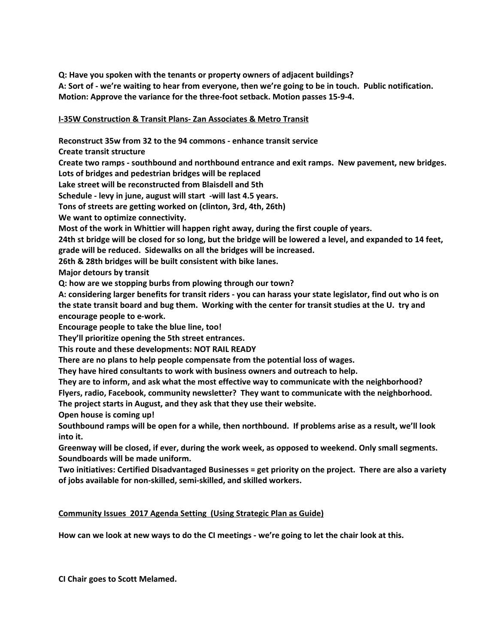**Q: Have you spoken with the tenants or property owners of adjacent buildings?** A: Sort of - we're waiting to hear from everyone, then we're going to be in touch. Public notification. **Motion: Approve the variance for the three-foot setback. Motion passes 15-9-4.**

# **I-35W Construction & Transit Plans- Zan Associates & Metro Transit**

**Reconstruct 35w from 32 to the 94 commons - enhance transit service**

**Create transit structure**

**Create two ramps - southbound and northbound entrance and exit ramps. New pavement, new bridges.**

**Lots of bridges and pedestrian bridges will be replaced**

**Lake street will be reconstructed from Blaisdell and 5th**

**Schedule - levy in june, august will start -will last 4.5 years.**

**Tons of streets are getting worked on (clinton, 3rd, 4th, 26th)**

**We want to optimize connectivity.**

**Most of the work in Whittier will happen right away, during the first couple of years.**

24th st bridge will be closed for so long, but the bridge will be lowered a level, and expanded to 14 feet, **grade will be reduced. Sidewalks on all the bridges will be increased.**

**26th & 28th bridges will be built consistent with bike lanes.**

**Major detours by transit**

**Q: how are we stopping burbs from plowing through our town?**

A: considering larger benefits for transit riders - you can harass your state legislator, find out who is on the state transit board and bug them. Working with the center for transit studies at the U. try and **encourage people to e-work.**

**Encourage people to take the blue line, too!**

**They'll prioritize opening the 5th street entrances.**

**This route and these developments: NOT RAIL READY**

**There are no plans to help people compensate from the potential loss of wages.**

**They have hired consultants to work with business owners and outreach to help.**

**They are to inform, and ask what the most effective way to communicate with the neighborhood?**

**Flyers, radio, Facebook, community newsletter? They want to communicate with the neighborhood.**

**The project starts in August, and they ask that they use their website.**

**Open house is coming up!**

Southbound ramps will be open for a while, then northbound. If problems arise as a result, we'll look **into it.**

**Greenway will be closed, if ever, during the work week, as opposed to weekend. Only small segments. Soundboards will be made uniform.**

**Two initiatives: Certified Disadvantaged Businesses = get priority on the project. There are also a variety of jobs available for non-skilled, semi-skilled, and skilled workers.**

## **Community Issues 2017 Agenda Setting (Using Strategic Plan as Guide)**

How can we look at new ways to do the CI meetings - we're going to let the chair look at this.

**CI Chair goes to Scott Melamed.**